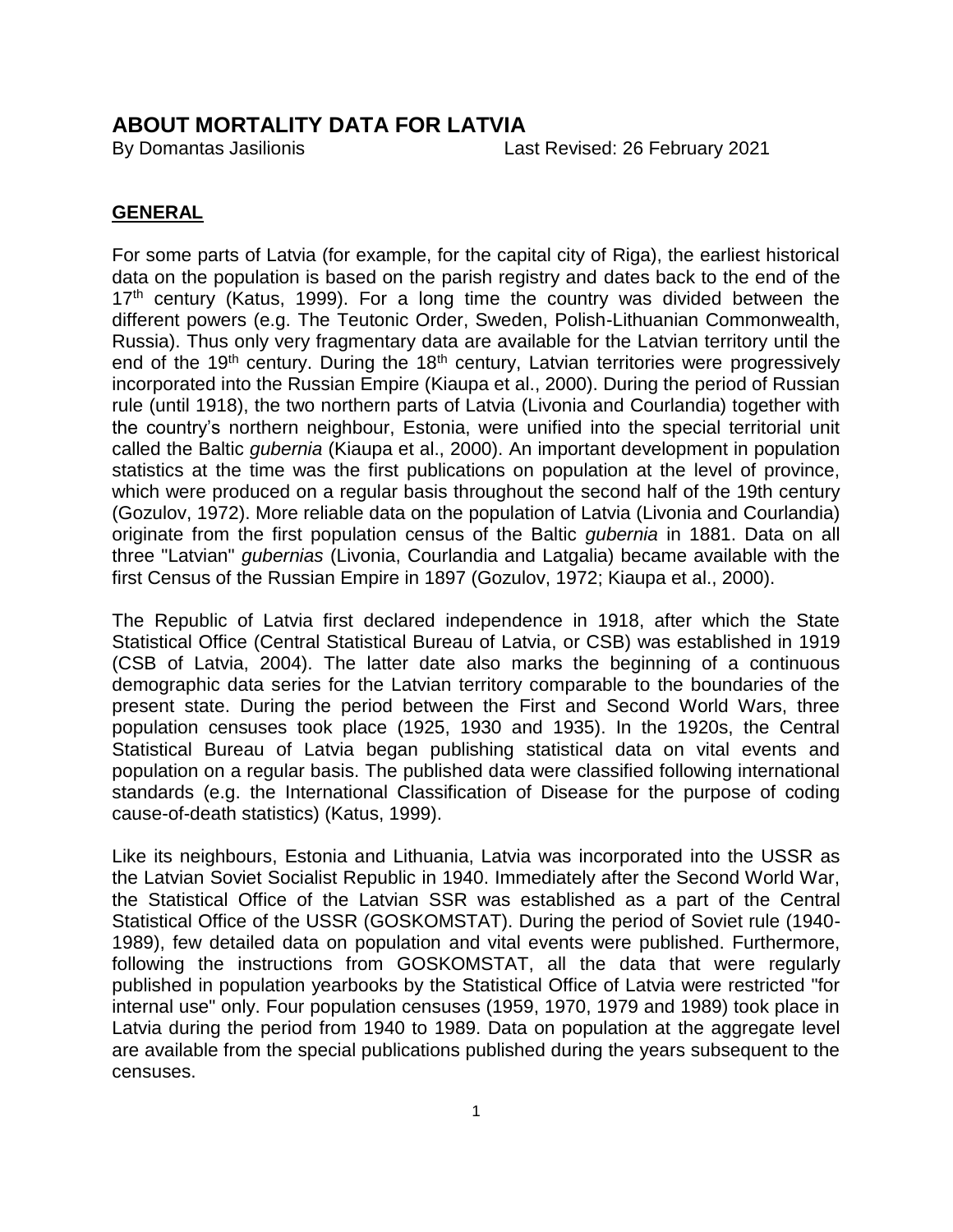### **ABOUT MORTALITY DATA FOR LATVIA**

By Domantas Jasilionis Last Revised: 26 February 2021

#### **GENERAL**

For some parts of Latvia (for example, for the capital city of Riga), the earliest historical data on the population is based on the parish registry and dates back to the end of the  $17<sup>th</sup>$  century (Katus, 1999). For a long time the country was divided between the different powers (e.g. The Teutonic Order, Sweden, Polish-Lithuanian Commonwealth, Russia). Thus only very fragmentary data are available for the Latvian territory until the end of the 19<sup>th</sup> century. During the 18<sup>th</sup> century, Latvian territories were progressively incorporated into the Russian Empire (Kiaupa et al., 2000). During the period of Russian rule (until 1918), the two northern parts of Latvia (Livonia and Courlandia) together with the country's northern neighbour, Estonia, were unified into the special territorial unit called the Baltic *gubernia* (Kiaupa et al., 2000). An important development in population statistics at the time was the first publications on population at the level of province, which were produced on a regular basis throughout the second half of the 19th century (Gozulov, 1972). More reliable data on the population of Latvia (Livonia and Courlandia) originate from the first population census of the Baltic *gubernia* in 1881. Data on all three "Latvian" *gubernias* (Livonia, Courlandia and Latgalia) became available with the first Census of the Russian Empire in 1897 (Gozulov, 1972; Kiaupa et al., 2000).

The Republic of Latvia first declared independence in 1918, after which the State Statistical Office (Central Statistical Bureau of Latvia, or CSB) was established in 1919 (CSB of Latvia, 2004). The latter date also marks the beginning of a continuous demographic data series for the Latvian territory comparable to the boundaries of the present state. During the period between the First and Second World Wars, three population censuses took place (1925, 1930 and 1935). In the 1920s, the Central Statistical Bureau of Latvia began publishing statistical data on vital events and population on a regular basis. The published data were classified following international standards (e.g. the International Classification of Disease for the purpose of coding cause-of-death statistics) (Katus, 1999).

Like its neighbours, Estonia and Lithuania, Latvia was incorporated into the USSR as the Latvian Soviet Socialist Republic in 1940. Immediately after the Second World War, the Statistical Office of the Latvian SSR was established as a part of the Central Statistical Office of the USSR (GOSKOMSTAT). During the period of Soviet rule (1940- 1989), few detailed data on population and vital events were published. Furthermore, following the instructions from GOSKOMSTAT, all the data that were regularly published in population yearbooks by the Statistical Office of Latvia were restricted "for internal use" only. Four population censuses (1959, 1970, 1979 and 1989) took place in Latvia during the period from 1940 to 1989. Data on population at the aggregate level are available from the special publications published during the years subsequent to the censuses.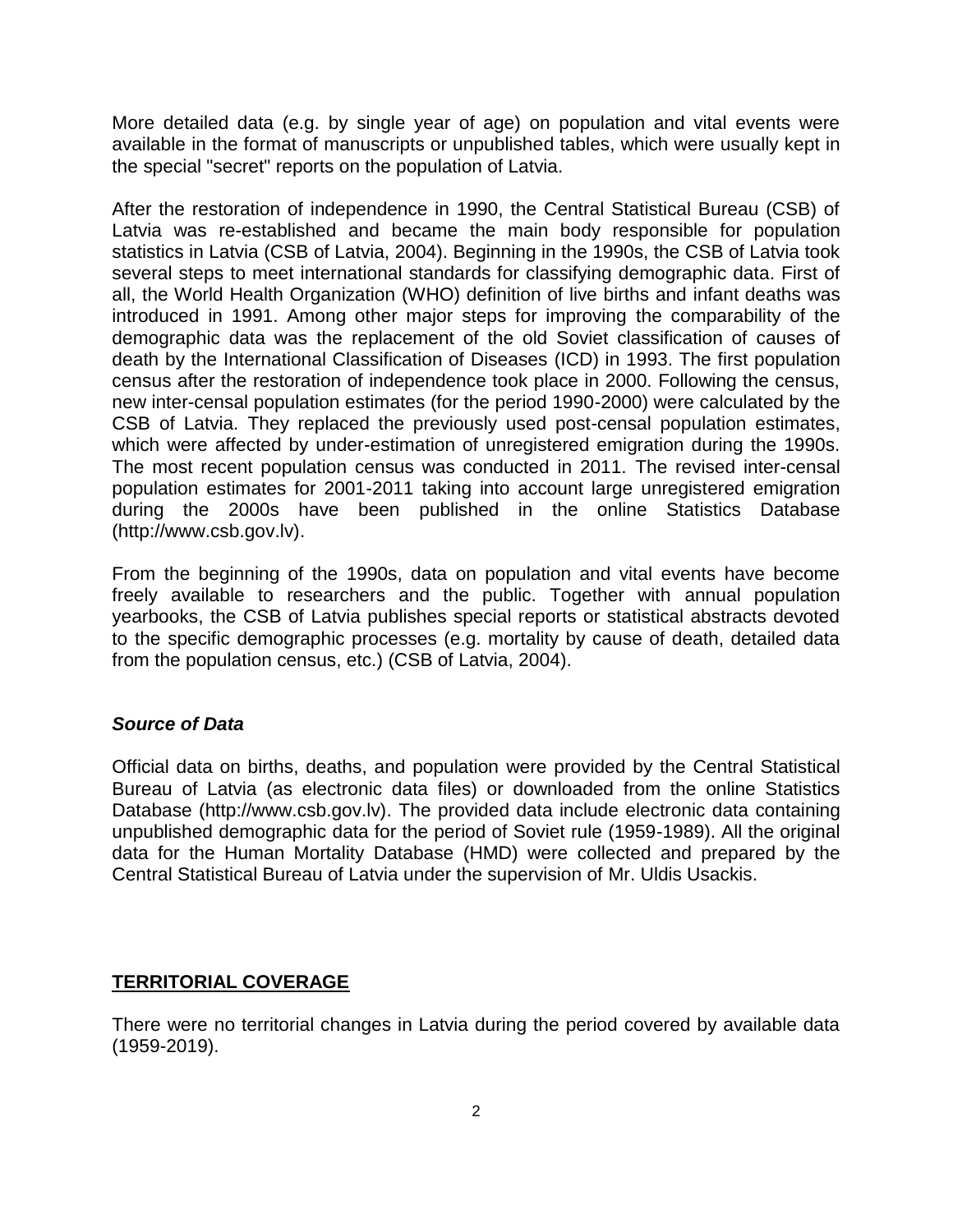More detailed data (e.g. by single year of age) on population and vital events were available in the format of manuscripts or unpublished tables, which were usually kept in the special "secret" reports on the population of Latvia.

After the restoration of independence in 1990, the Central Statistical Bureau (CSB) of Latvia was re-established and became the main body responsible for population statistics in Latvia (CSB of Latvia, 2004). Beginning in the 1990s, the CSB of Latvia took several steps to meet international standards for classifying demographic data. First of all, the World Health Organization (WHO) definition of live births and infant deaths was introduced in 1991. Among other major steps for improving the comparability of the demographic data was the replacement of the old Soviet classification of causes of death by the International Classification of Diseases (ICD) in 1993. The first population census after the restoration of independence took place in 2000. Following the census, new inter-censal population estimates (for the period 1990-2000) were calculated by the CSB of Latvia. They replaced the previously used post-censal population estimates, which were affected by under-estimation of unregistered emigration during the 1990s. The most recent population census was conducted in 2011. The revised inter-censal population estimates for 2001-2011 taking into account large unregistered emigration during the 2000s have been published in the online Statistics Database (http://www.csb.gov.lv).

From the beginning of the 1990s, data on population and vital events have become freely available to researchers and the public. Together with annual population yearbooks, the CSB of Latvia publishes special reports or statistical abstracts devoted to the specific demographic processes (e.g. mortality by cause of death, detailed data from the population census, etc.) (CSB of Latvia, 2004).

#### *Source of Data*

Official data on births, deaths, and population were provided by the Central Statistical Bureau of Latvia (as electronic data files) or downloaded from the online Statistics Database (http://www.csb.gov.lv). The provided data include electronic data containing unpublished demographic data for the period of Soviet rule (1959-1989). All the original data for the Human Mortality Database (HMD) were collected and prepared by the Central Statistical Bureau of Latvia under the supervision of Mr. Uldis Usackis.

#### **TERRITORIAL COVERAGE**

There were no territorial changes in Latvia during the period covered by available data (1959-2019).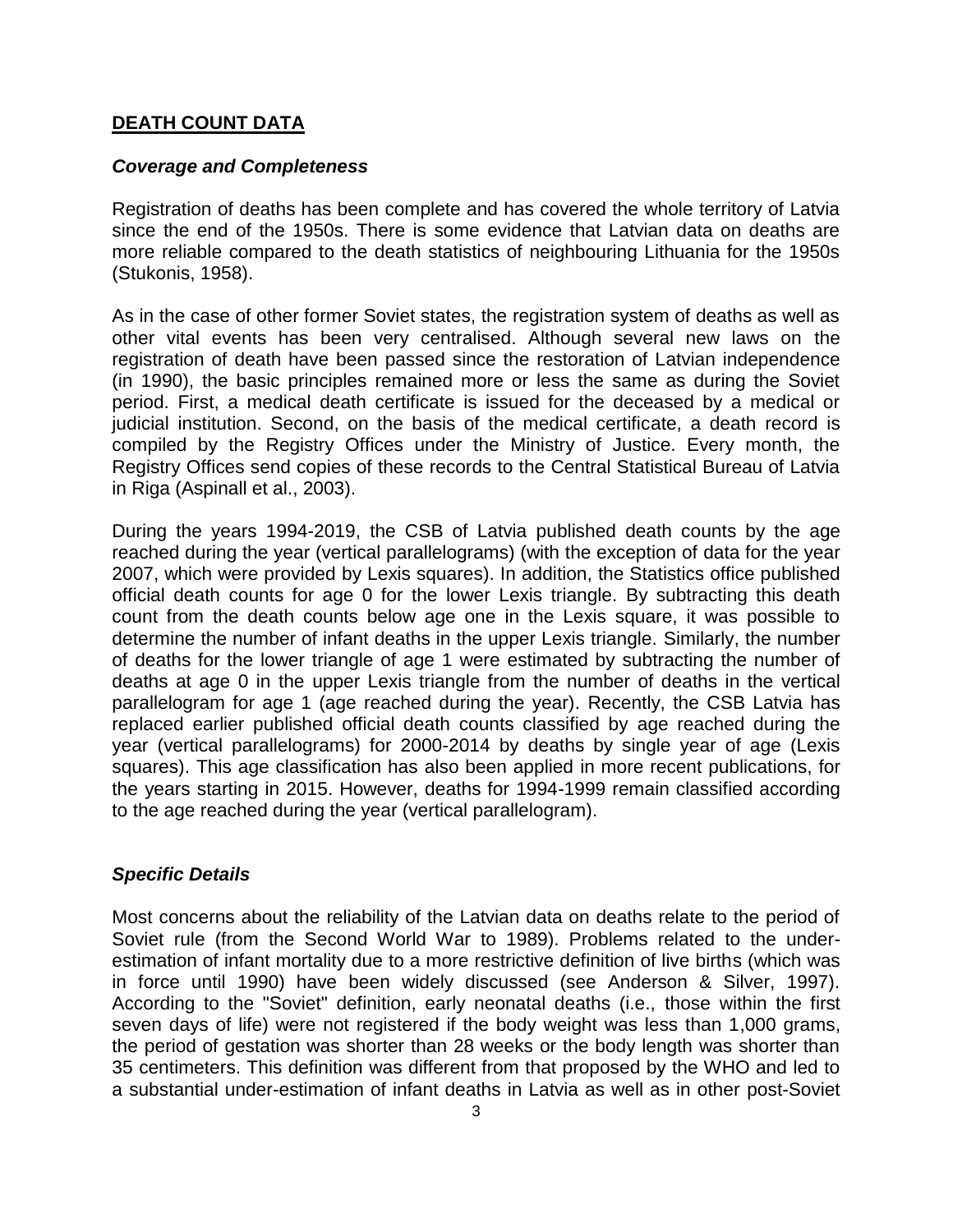#### **DEATH COUNT DATA**

#### *Coverage and Completeness*

Registration of deaths has been complete and has covered the whole territory of Latvia since the end of the 1950s. There is some evidence that Latvian data on deaths are more reliable compared to the death statistics of neighbouring Lithuania for the 1950s (Stukonis, 1958).

As in the case of other former Soviet states, the registration system of deaths as well as other vital events has been very centralised. Although several new laws on the registration of death have been passed since the restoration of Latvian independence (in 1990), the basic principles remained more or less the same as during the Soviet period. First, a medical death certificate is issued for the deceased by a medical or judicial institution. Second, on the basis of the medical certificate, a death record is compiled by the Registry Offices under the Ministry of Justice. Every month, the Registry Offices send copies of these records to the Central Statistical Bureau of Latvia in Riga (Aspinall et al., 2003).

During the years 1994-2019, the CSB of Latvia published death counts by the age reached during the year (vertical parallelograms) (with the exception of data for the year 2007, which were provided by Lexis squares). In addition, the Statistics office published official death counts for age 0 for the lower Lexis triangle. By subtracting this death count from the death counts below age one in the Lexis square, it was possible to determine the number of infant deaths in the upper Lexis triangle. Similarly, the number of deaths for the lower triangle of age 1 were estimated by subtracting the number of deaths at age 0 in the upper Lexis triangle from the number of deaths in the vertical parallelogram for age 1 (age reached during the year). Recently, the CSB Latvia has replaced earlier published official death counts classified by age reached during the year (vertical parallelograms) for 2000-2014 by deaths by single year of age (Lexis squares). This age classification has also been applied in more recent publications, for the years starting in 2015. However, deaths for 1994-1999 remain classified according to the age reached during the year (vertical parallelogram).

#### *Specific Details*

Most concerns about the reliability of the Latvian data on deaths relate to the period of Soviet rule (from the Second World War to 1989). Problems related to the underestimation of infant mortality due to a more restrictive definition of live births (which was in force until 1990) have been widely discussed (see Anderson & Silver, 1997). According to the "Soviet" definition, early neonatal deaths (i.e., those within the first seven days of life) were not registered if the body weight was less than 1,000 grams, the period of gestation was shorter than 28 weeks or the body length was shorter than 35 centimeters. This definition was different from that proposed by the WHO and led to a substantial under-estimation of infant deaths in Latvia as well as in other post-Soviet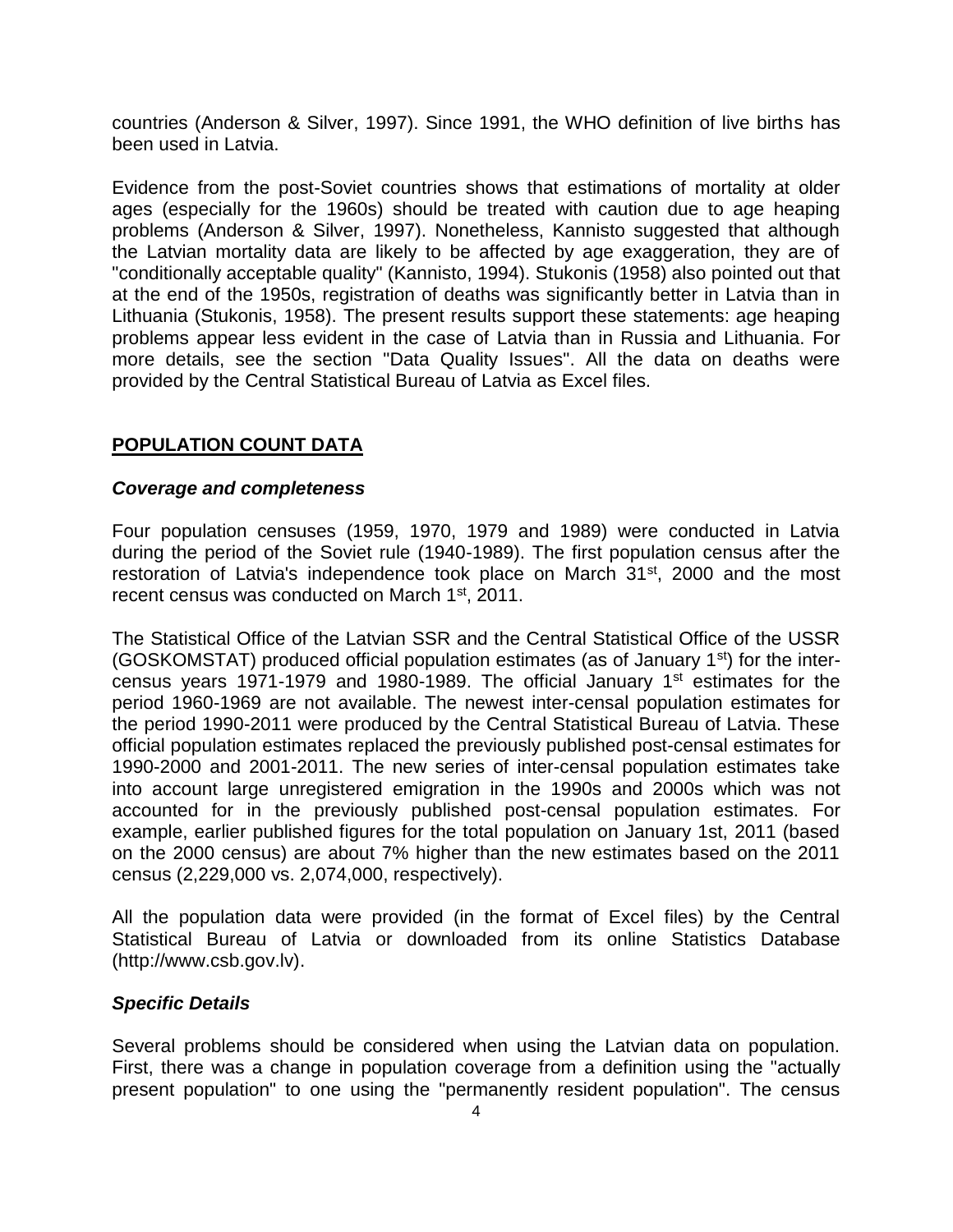countries (Anderson & Silver, 1997). Since 1991, the WHO definition of live births has been used in Latvia.

Evidence from the post-Soviet countries shows that estimations of mortality at older ages (especially for the 1960s) should be treated with caution due to age heaping problems (Anderson & Silver, 1997). Nonetheless, Kannisto suggested that although the Latvian mortality data are likely to be affected by age exaggeration, they are of "conditionally acceptable quality" (Kannisto, 1994). Stukonis (1958) also pointed out that at the end of the 1950s, registration of deaths was significantly better in Latvia than in Lithuania (Stukonis, 1958). The present results support these statements: age heaping problems appear less evident in the case of Latvia than in Russia and Lithuania. For more details, see the section "Data Quality Issues". All the data on deaths were provided by the Central Statistical Bureau of Latvia as Excel files.

### **POPULATION COUNT DATA**

#### *Coverage and completeness*

Four population censuses (1959, 1970, 1979 and 1989) were conducted in Latvia during the period of the Soviet rule (1940-1989). The first population census after the restoration of Latvia's independence took place on March 31<sup>st</sup>, 2000 and the most recent census was conducted on March 1<sup>st</sup>, 2011.

The Statistical Office of the Latvian SSR and the Central Statistical Office of the USSR (GOSKOMSTAT) produced official population estimates (as of January 1st) for the intercensus years 1971-1979 and 1980-1989. The official January 1st estimates for the period 1960-1969 are not available. The newest inter-censal population estimates for the period 1990-2011 were produced by the Central Statistical Bureau of Latvia. These official population estimates replaced the previously published post-censal estimates for 1990-2000 and 2001-2011. The new series of inter-censal population estimates take into account large unregistered emigration in the 1990s and 2000s which was not accounted for in the previously published post-censal population estimates. For example, earlier published figures for the total population on January 1st, 2011 (based on the 2000 census) are about 7% higher than the new estimates based on the 2011 census (2,229,000 vs. 2,074,000, respectively).

All the population data were provided (in the format of Excel files) by the Central Statistical Bureau of Latvia or downloaded from its online Statistics Database (http://www.csb.gov.lv).

#### *Specific Details*

Several problems should be considered when using the Latvian data on population. First, there was a change in population coverage from a definition using the "actually present population" to one using the "permanently resident population". The census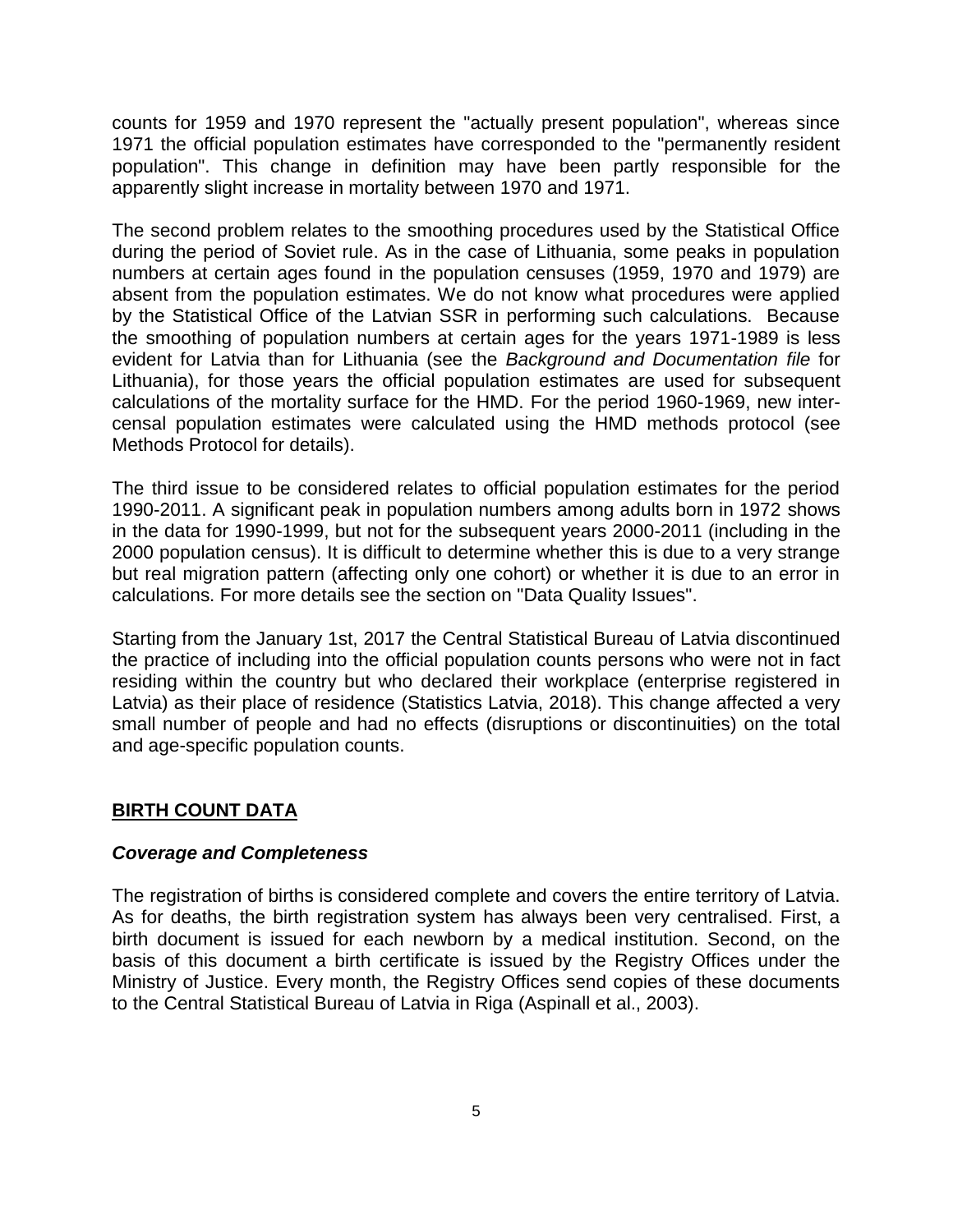counts for 1959 and 1970 represent the "actually present population", whereas since 1971 the official population estimates have corresponded to the "permanently resident population". This change in definition may have been partly responsible for the apparently slight increase in mortality between 1970 and 1971.

The second problem relates to the smoothing procedures used by the Statistical Office during the period of Soviet rule. As in the case of Lithuania, some peaks in population numbers at certain ages found in the population censuses (1959, 1970 and 1979) are absent from the population estimates. We do not know what procedures were applied by the Statistical Office of the Latvian SSR in performing such calculations. Because the smoothing of population numbers at certain ages for the years 1971-1989 is less evident for Latvia than for Lithuania (see the *Background and Documentation file* for Lithuania), for those years the official population estimates are used for subsequent calculations of the mortality surface for the HMD. For the period 1960-1969, new intercensal population estimates were calculated using the HMD methods protocol (see Methods Protocol for details).

The third issue to be considered relates to official population estimates for the period 1990-2011. A significant peak in population numbers among adults born in 1972 shows in the data for 1990-1999, but not for the subsequent years 2000-2011 (including in the 2000 population census). It is difficult to determine whether this is due to a very strange but real migration pattern (affecting only one cohort) or whether it is due to an error in calculations. For more details see the section on "Data Quality Issues".

Starting from the January 1st, 2017 the Central Statistical Bureau of Latvia discontinued the practice of including into the official population counts persons who were not in fact residing within the country but who declared their workplace (enterprise registered in Latvia) as their place of residence (Statistics Latvia, 2018). This change affected a very small number of people and had no effects (disruptions or discontinuities) on the total and age-specific population counts.

#### **BIRTH COUNT DATA**

#### *Coverage and Completeness*

The registration of births is considered complete and covers the entire territory of Latvia. As for deaths, the birth registration system has always been very centralised. First, a birth document is issued for each newborn by a medical institution. Second, on the basis of this document a birth certificate is issued by the Registry Offices under the Ministry of Justice. Every month, the Registry Offices send copies of these documents to the Central Statistical Bureau of Latvia in Riga (Aspinall et al., 2003).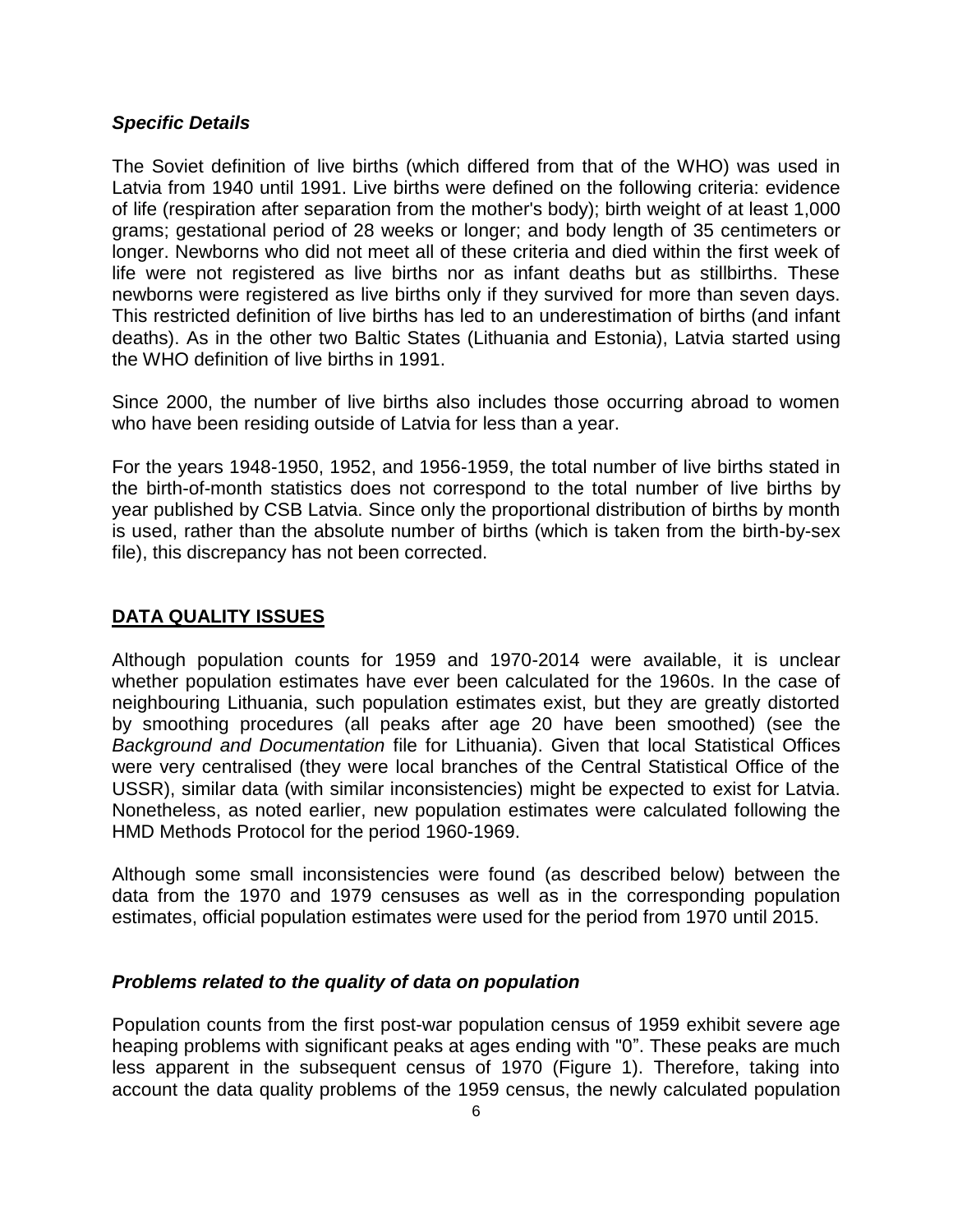#### *Specific Details*

The Soviet definition of live births (which differed from that of the WHO) was used in Latvia from 1940 until 1991. Live births were defined on the following criteria: evidence of life (respiration after separation from the mother's body); birth weight of at least 1,000 grams; gestational period of 28 weeks or longer; and body length of 35 centimeters or longer. Newborns who did not meet all of these criteria and died within the first week of life were not registered as live births nor as infant deaths but as stillbirths. These newborns were registered as live births only if they survived for more than seven days. This restricted definition of live births has led to an underestimation of births (and infant deaths). As in the other two Baltic States (Lithuania and Estonia), Latvia started using the WHO definition of live births in 1991.

Since 2000, the number of live births also includes those occurring abroad to women who have been residing outside of Latvia for less than a year.

For the years 1948-1950, 1952, and 1956-1959, the total number of live births stated in the birth-of-month statistics does not correspond to the total number of live births by year published by CSB Latvia. Since only the proportional distribution of births by month is used, rather than the absolute number of births (which is taken from the birth-by-sex file), this discrepancy has not been corrected.

#### **DATA QUALITY ISSUES**

Although population counts for 1959 and 1970-2014 were available, it is unclear whether population estimates have ever been calculated for the 1960s. In the case of neighbouring Lithuania, such population estimates exist, but they are greatly distorted by smoothing procedures (all peaks after age 20 have been smoothed) (see the *Background and Documentation* file for Lithuania). Given that local Statistical Offices were very centralised (they were local branches of the Central Statistical Office of the USSR), similar data (with similar inconsistencies) might be expected to exist for Latvia. Nonetheless, as noted earlier, new population estimates were calculated following the HMD Methods Protocol for the period 1960-1969.

Although some small inconsistencies were found (as described below) between the data from the 1970 and 1979 censuses as well as in the corresponding population estimates, official population estimates were used for the period from 1970 until 2015.

#### *Problems related to the quality of data on population*

Population counts from the first post-war population census of 1959 exhibit severe age heaping problems with significant peaks at ages ending with "0". These peaks are much less apparent in the subsequent census of 1970 (Figure 1). Therefore, taking into account the data quality problems of the 1959 census, the newly calculated population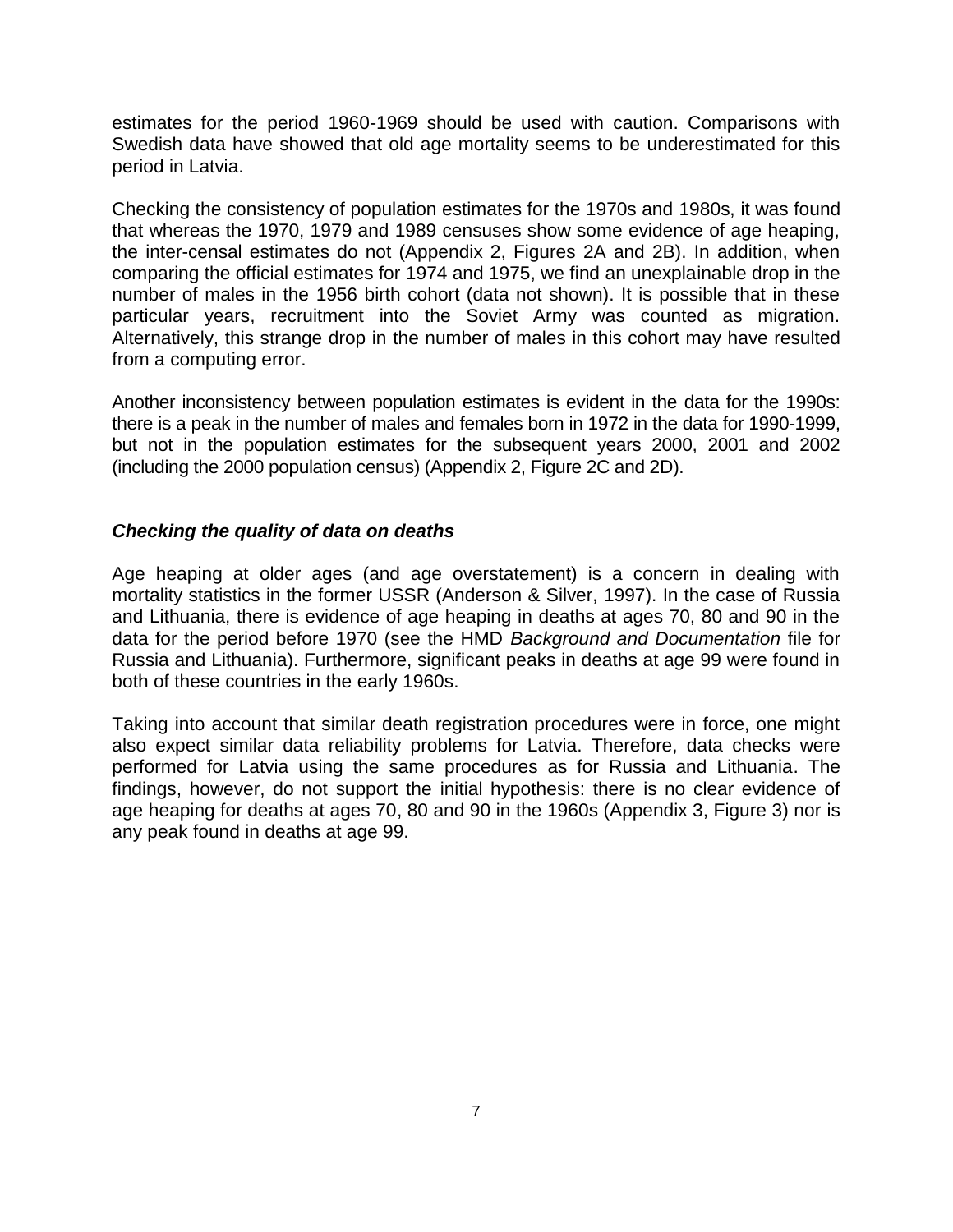estimates for the period 1960-1969 should be used with caution. Comparisons with Swedish data have showed that old age mortality seems to be underestimated for this period in Latvia.

Checking the consistency of population estimates for the 1970s and 1980s, it was found that whereas the 1970, 1979 and 1989 censuses show some evidence of age heaping, the inter-censal estimates do not (Appendix 2, Figures 2A and 2B). In addition, when comparing the official estimates for 1974 and 1975, we find an unexplainable drop in the number of males in the 1956 birth cohort (data not shown). It is possible that in these particular years, recruitment into the Soviet Army was counted as migration. Alternatively, this strange drop in the number of males in this cohort may have resulted from a computing error.

Another inconsistency between population estimates is evident in the data for the 1990s: there is a peak in the number of males and females born in 1972 in the data for 1990-1999, but not in the population estimates for the subsequent years 2000, 2001 and 2002 (including the 2000 population census) (Appendix 2, Figure 2C and 2D).

#### *Checking the quality of data on deaths*

Age heaping at older ages (and age overstatement) is a concern in dealing with mortality statistics in the former USSR (Anderson & Silver, 1997). In the case of Russia and Lithuania, there is evidence of age heaping in deaths at ages 70, 80 and 90 in the data for the period before 1970 (see the HMD *Background and Documentation* file for Russia and Lithuania). Furthermore, significant peaks in deaths at age 99 were found in both of these countries in the early 1960s.

Taking into account that similar death registration procedures were in force, one might also expect similar data reliability problems for Latvia. Therefore, data checks were performed for Latvia using the same procedures as for Russia and Lithuania. The findings, however, do not support the initial hypothesis: there is no clear evidence of age heaping for deaths at ages 70, 80 and 90 in the 1960s (Appendix 3, Figure 3) nor is any peak found in deaths at age 99.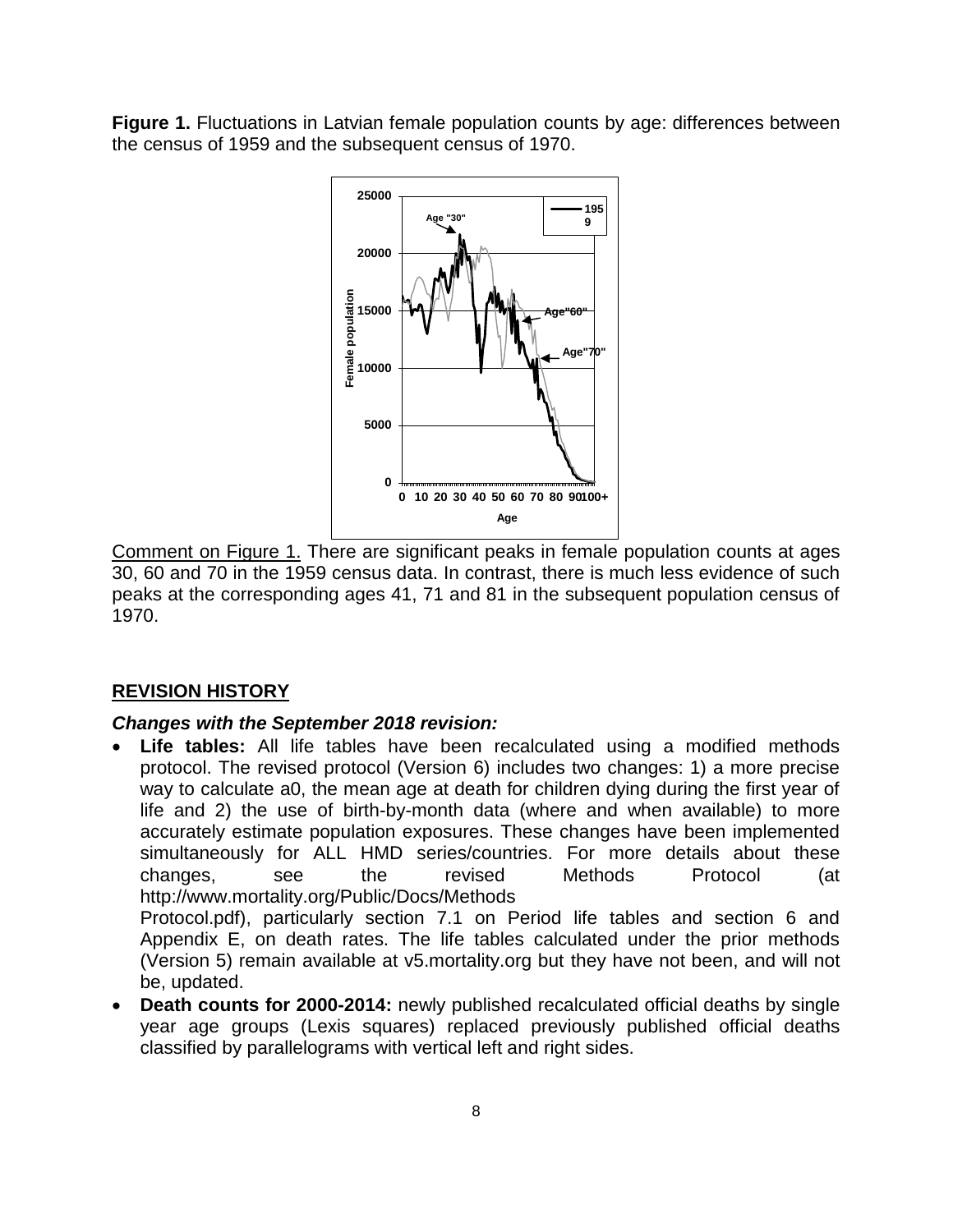**Figure 1.** Fluctuations in Latvian female population counts by age: differences between the census of 1959 and the subsequent census of 1970.



Comment on Figure 1. There are significant peaks in female population counts at ages 30, 60 and 70 in the 1959 census data. In contrast, there is much less evidence of such peaks at the corresponding ages 41, 71 and 81 in the subsequent population census of 1970.

### **REVISION HISTORY**

#### *Changes with the September 2018 revision:*

• **Life tables:** All life tables have been recalculated using a modified methods protocol. The revised protocol (Version 6) includes two changes: 1) a more precise way to calculate a0, the mean age at death for children dying during the first year of life and 2) the use of birth-by-month data (where and when available) to more accurately estimate population exposures. These changes have been implemented simultaneously for ALL HMD series/countries. For more details about these changes, see the revised Methods Protocol (at http://www.mortality.org/Public/Docs/Methods Protocol.pdf), particularly section 7.1 on Period life tables and section 6 and

Appendix E, on death rates. The life tables calculated under the prior methods (Version 5) remain available at v5.mortality.org but they have not been, and will not be, updated.

• **Death counts for 2000-2014:** newly published recalculated official deaths by single year age groups (Lexis squares) replaced previously published official deaths classified by parallelograms with vertical left and right sides.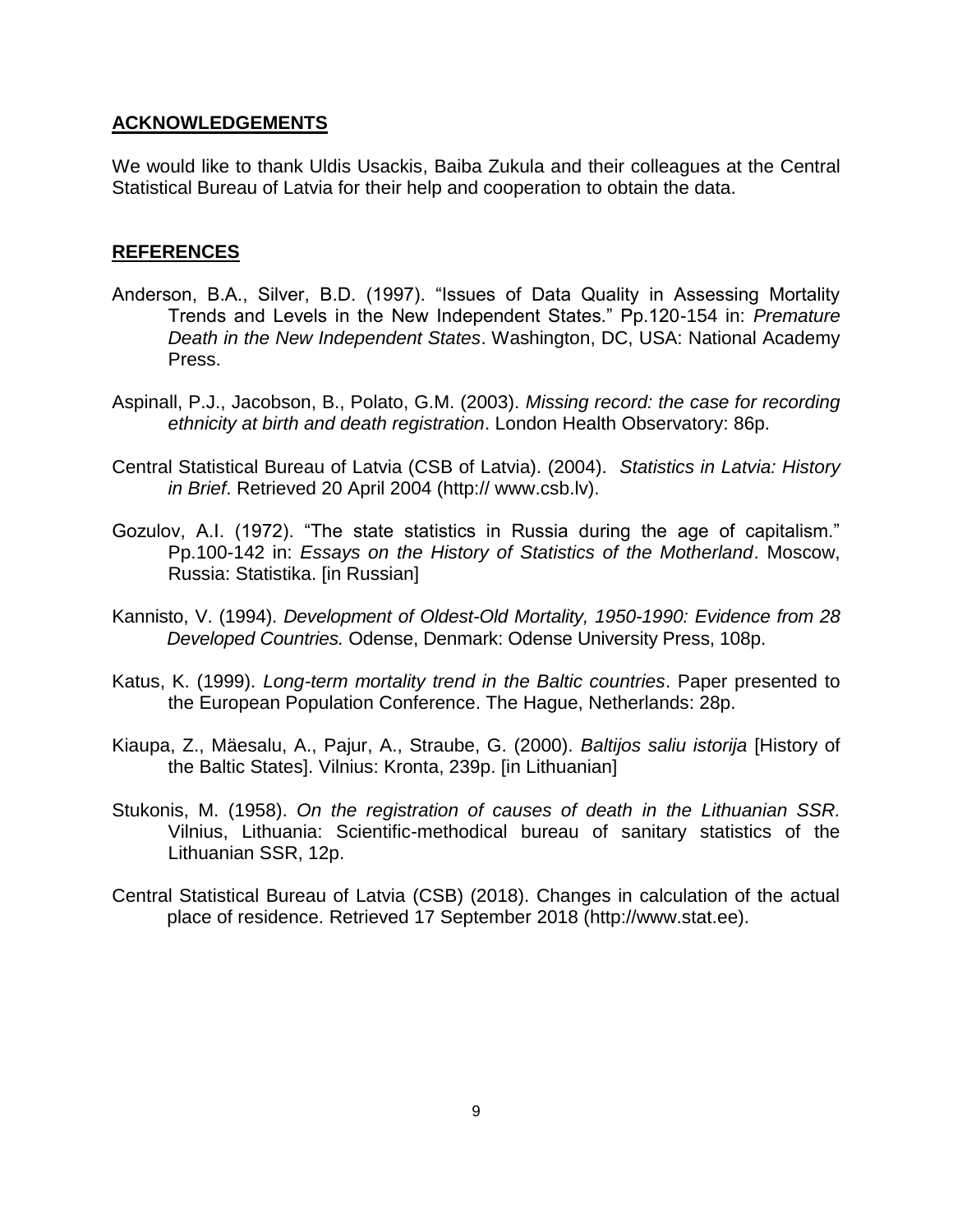#### **ACKNOWLEDGEMENTS**

We would like to thank Uldis Usackis, Baiba Zukula and their colleagues at the Central Statistical Bureau of Latvia for their help and cooperation to obtain the data.

#### **REFERENCES**

- Anderson, B.A., Silver, B.D. (1997). "Issues of Data Quality in Assessing Mortality Trends and Levels in the New Independent States." Pp.120-154 in: *Premature Death in the New Independent States*. Washington, DC, USA: National Academy Press.
- Aspinall, P.J., Jacobson, B., Polato, G.M. (2003). *Missing record: the case for recording ethnicity at birth and death registration*. London Health Observatory: 86p.
- Central Statistical Bureau of Latvia (CSB of Latvia). (2004). *Statistics in Latvia: History in Brief*. Retrieved 20 April 2004 (http:// www.csb.lv).
- Gozulov, A.I. (1972). "The state statistics in Russia during the age of capitalism." Pp.100-142 in: *Essays on the History of Statistics of the Motherland*. Moscow, Russia: Statistika. [in Russian]
- Kannisto, V. (1994). *Development of Oldest-Old Mortality, 1950-1990: Evidence from 28 Developed Countries.* Odense, Denmark: Odense University Press, 108p.
- Katus, K. (1999). *Long-term mortality trend in the Baltic countries*. Paper presented to the European Population Conference. The Hague, Netherlands: 28p.
- Kiaupa, Z., Mäesalu, A., Pajur, A., Straube, G. (2000). *Baltijos saliu istorija* [History of the Baltic States]. Vilnius: Kronta, 239p. [in Lithuanian]
- Stukonis, M. (1958). *On the registration of causes of death in the Lithuanian SSR.* Vilnius, Lithuania: Scientific-methodical bureau of sanitary statistics of the Lithuanian SSR, 12p.
- Central Statistical Bureau of Latvia (CSB) (2018). Changes in calculation of the actual place of residence. Retrieved 17 September 2018 (http://www.stat.ee).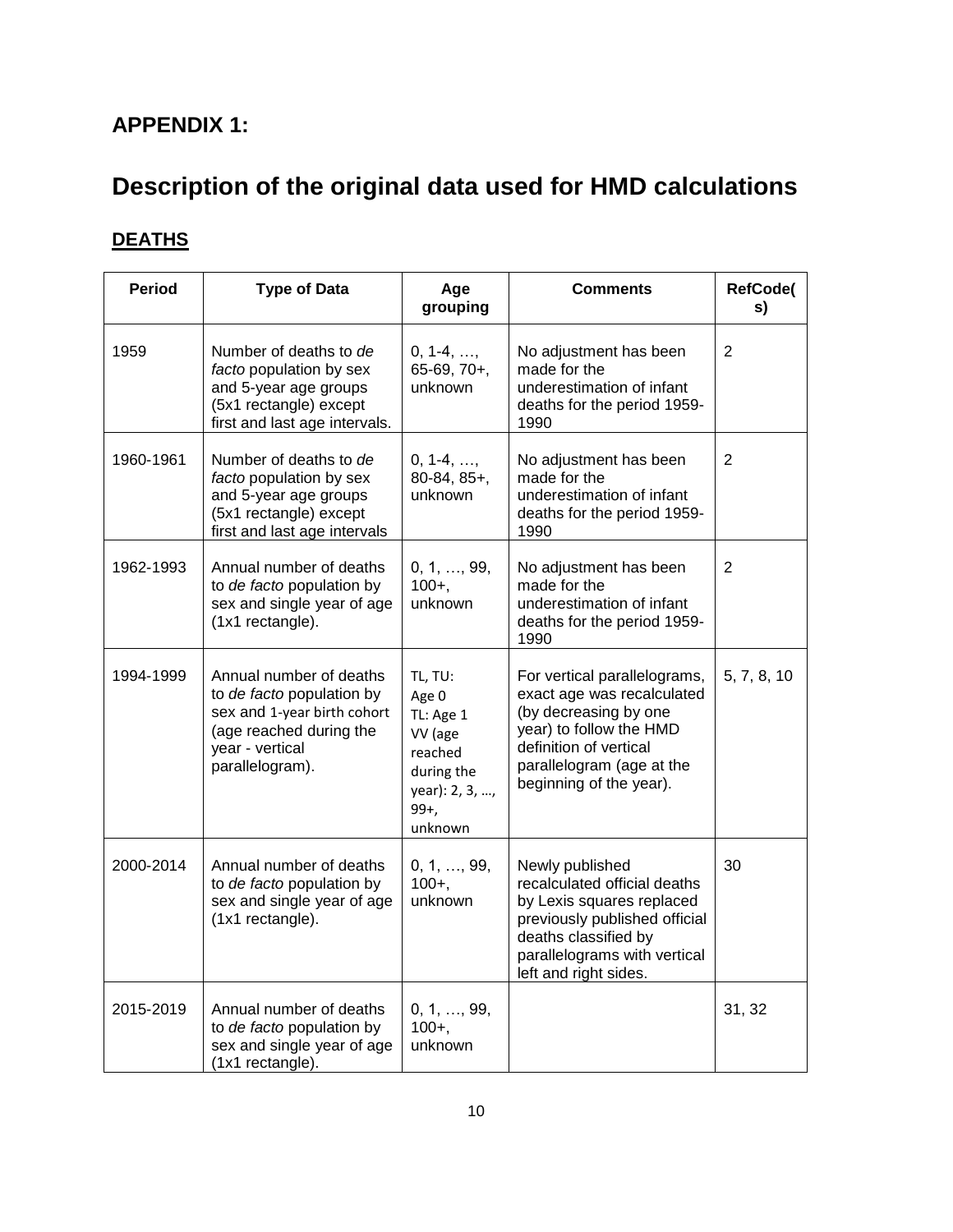## **APPENDIX 1:**

# **Description of the original data used for HMD calculations**

# **DEATHS**

| <b>Period</b> | <b>Type of Data</b>                                                                                                                                  | Age<br>grouping                                                                                           | <b>Comments</b>                                                                                                                                                                                  | <b>RefCode(</b><br>s) |
|---------------|------------------------------------------------------------------------------------------------------------------------------------------------------|-----------------------------------------------------------------------------------------------------------|--------------------------------------------------------------------------------------------------------------------------------------------------------------------------------------------------|-----------------------|
| 1959          | Number of deaths to de<br>facto population by sex<br>and 5-year age groups<br>(5x1 rectangle) except<br>first and last age intervals.                | $0, 1-4, \ldots,$<br>$65-69, 70+,$<br>unknown                                                             | No adjustment has been<br>made for the<br>underestimation of infant<br>deaths for the period 1959-<br>1990                                                                                       | $\overline{2}$        |
| 1960-1961     | Number of deaths to de<br>facto population by sex<br>and 5-year age groups<br>(5x1 rectangle) except<br>first and last age intervals                 | $0, 1-4, \ldots$<br>$80-84, 85+,$<br>unknown                                                              | No adjustment has been<br>made for the<br>underestimation of infant<br>deaths for the period 1959-<br>1990                                                                                       | $\overline{2}$        |
| 1962-1993     | Annual number of deaths<br>to de facto population by<br>sex and single year of age<br>(1x1 rectangle).                                               | 0, 1, , 99,<br>$100 +$ ,<br>unknown                                                                       | No adjustment has been<br>made for the<br>underestimation of infant<br>deaths for the period 1959-<br>1990                                                                                       | $\overline{2}$        |
| 1994-1999     | Annual number of deaths<br>to de facto population by<br>sex and 1-year birth cohort<br>(age reached during the<br>year - vertical<br>parallelogram). | TL, TU:<br>Age 0<br>TL: Age 1<br>VV (age<br>reached<br>during the<br>year): 2, 3, ,<br>$99+$ ,<br>unknown | For vertical parallelograms,<br>exact age was recalculated<br>(by decreasing by one<br>year) to follow the HMD<br>definition of vertical<br>parallelogram (age at the<br>beginning of the year). | 5, 7, 8, 10           |
| 2000-2014     | Annual number of deaths<br>to de facto population by<br>sex and single year of age<br>(1x1 rectangle).                                               | 0, 1, , 99,<br>$100+,$<br>unknown                                                                         | Newly published<br>recalculated official deaths<br>by Lexis squares replaced<br>previously published official<br>deaths classified by<br>parallelograms with vertical<br>left and right sides.   | 30                    |
| 2015-2019     | Annual number of deaths<br>to de facto population by<br>sex and single year of age<br>(1x1 rectangle).                                               | 0, 1, , 99,<br>$100 +$ ,<br>unknown                                                                       |                                                                                                                                                                                                  | 31, 32                |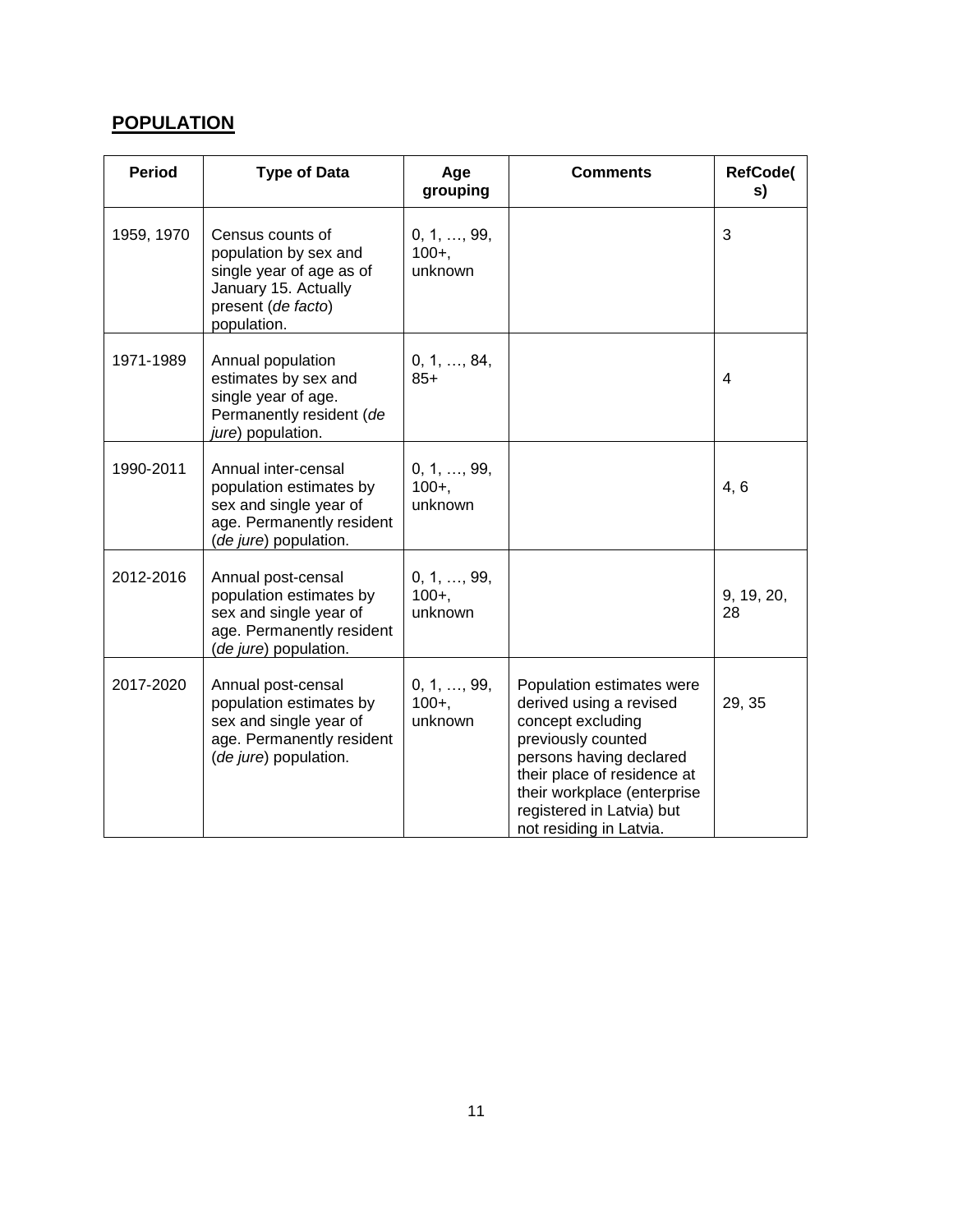## **POPULATION**

| <b>Period</b> | <b>Type of Data</b>                                                                                                                | Age<br>grouping                     | <b>Comments</b>                                                                                                                                                                                                                                  | <b>RefCode(</b><br>s) |
|---------------|------------------------------------------------------------------------------------------------------------------------------------|-------------------------------------|--------------------------------------------------------------------------------------------------------------------------------------------------------------------------------------------------------------------------------------------------|-----------------------|
| 1959, 1970    | Census counts of<br>population by sex and<br>single year of age as of<br>January 15. Actually<br>present (de facto)<br>population. | 0, 1, , 99,<br>$100 +$ ,<br>unknown |                                                                                                                                                                                                                                                  | 3                     |
| 1971-1989     | Annual population<br>estimates by sex and<br>single year of age.<br>Permanently resident (de<br>jure) population.                  | 0, 1, , 84,<br>$85+$                |                                                                                                                                                                                                                                                  | 4                     |
| 1990-2011     | Annual inter-censal<br>population estimates by<br>sex and single year of<br>age. Permanently resident<br>(de jure) population.     | 0, 1, , 99,<br>$100 +$ ,<br>unknown |                                                                                                                                                                                                                                                  | 4, 6                  |
| 2012-2016     | Annual post-censal<br>population estimates by<br>sex and single year of<br>age. Permanently resident<br>(de jure) population.      | 0, 1, , 99,<br>$100 +$ ,<br>unknown |                                                                                                                                                                                                                                                  | 9, 19, 20,<br>28      |
| 2017-2020     | Annual post-censal<br>population estimates by<br>sex and single year of<br>age. Permanently resident<br>(de jure) population.      | 0, 1, , 99,<br>$100 +$ ,<br>unknown | Population estimates were<br>derived using a revised<br>concept excluding<br>previously counted<br>persons having declared<br>their place of residence at<br>their workplace (enterprise<br>registered in Latvia) but<br>not residing in Latvia. | 29, 35                |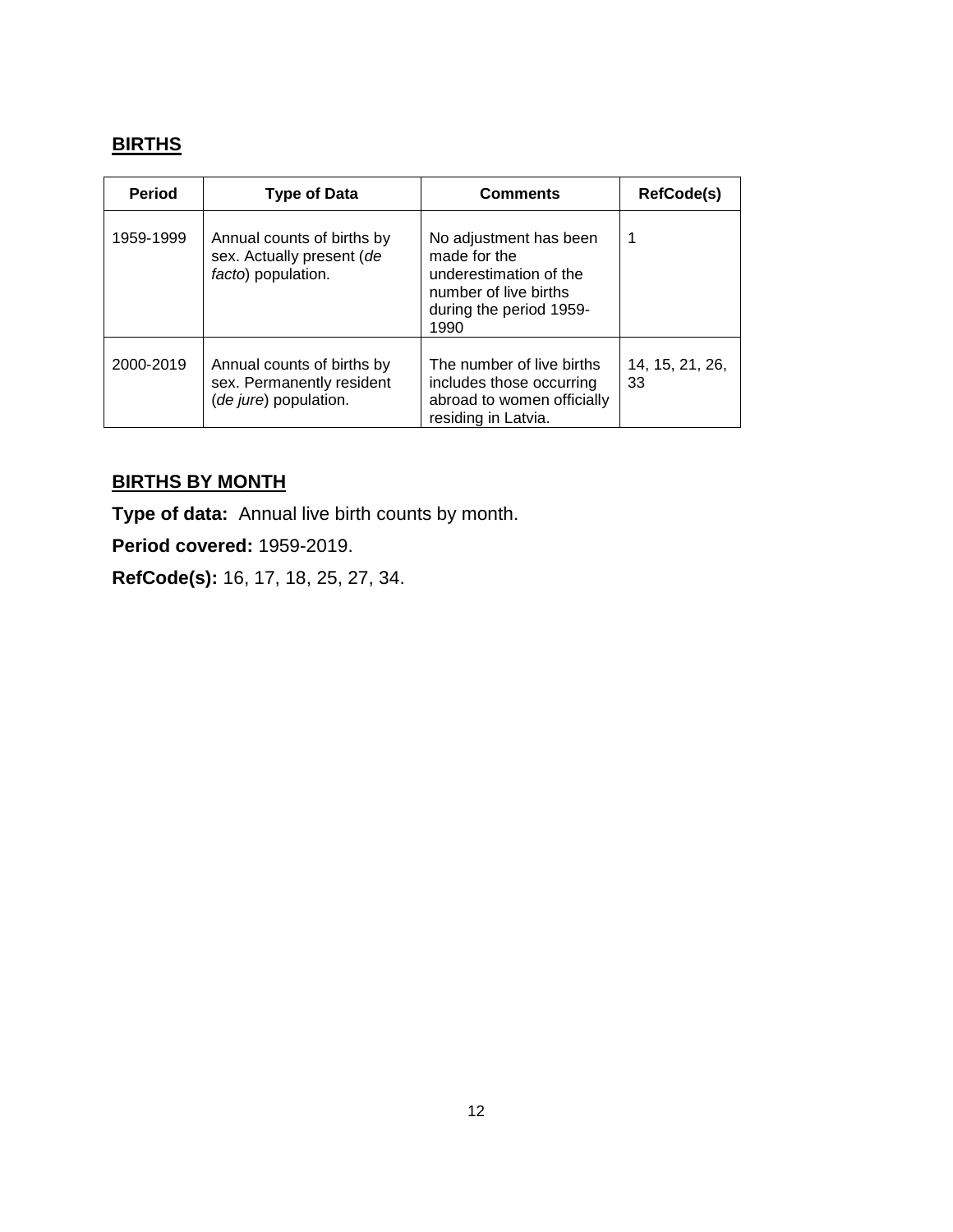## **BIRTHS**

| <b>Period</b> | <b>Type of Data</b>                                                              | <b>Comments</b>                                                                                                              | RefCode(s)            |
|---------------|----------------------------------------------------------------------------------|------------------------------------------------------------------------------------------------------------------------------|-----------------------|
| 1959-1999     | Annual counts of births by<br>sex. Actually present (de<br>facto) population.    | No adjustment has been<br>made for the<br>underestimation of the<br>number of live births<br>during the period 1959-<br>1990 | 1                     |
| 2000-2019     | Annual counts of births by<br>sex. Permanently resident<br>(de jure) population. | The number of live births<br>includes those occurring<br>abroad to women officially<br>residing in Latvia.                   | 14, 15, 21, 26,<br>33 |

## **BIRTHS BY MONTH**

**Type of data:** Annual live birth counts by month.

**Period covered:** 1959-2019.

**RefCode(s):** 16, 17, 18, 25, 27, 34.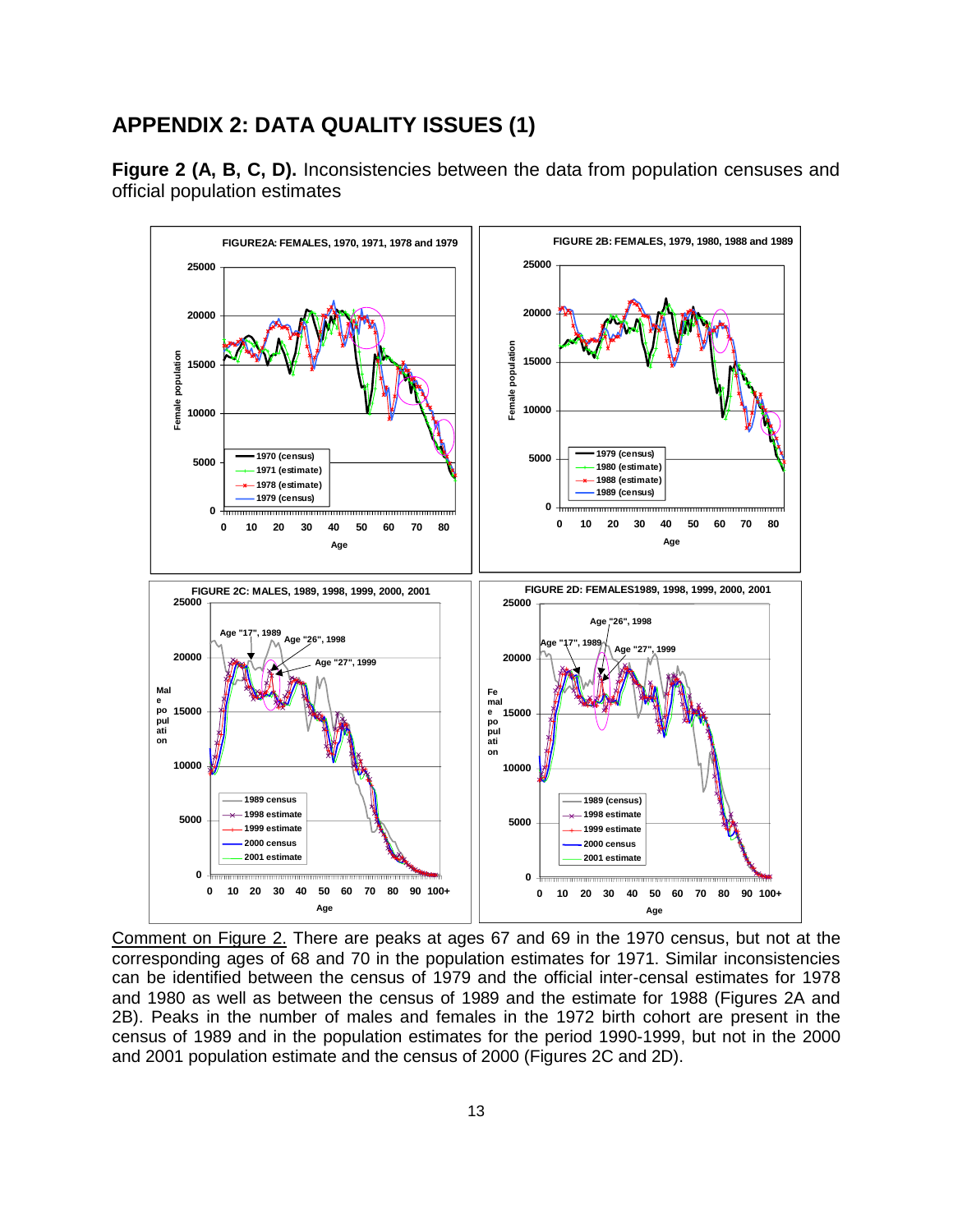## **APPENDIX 2: DATA QUALITY ISSUES (1)**

**Figure 2 (A, B, C, D).** Inconsistencies between the data from population censuses and official population estimates



Comment on Figure 2. There are peaks at ages 67 and 69 in the 1970 census, but not at the corresponding ages of 68 and 70 in the population estimates for 1971. Similar inconsistencies can be identified between the census of 1979 and the official inter-censal estimates for 1978 and 1980 as well as between the census of 1989 and the estimate for 1988 (Figures 2A and 2B). Peaks in the number of males and females in the 1972 birth cohort are present in the census of 1989 and in the population estimates for the period 1990-1999, but not in the 2000 and 2001 population estimate and the census of 2000 (Figures 2C and 2D).